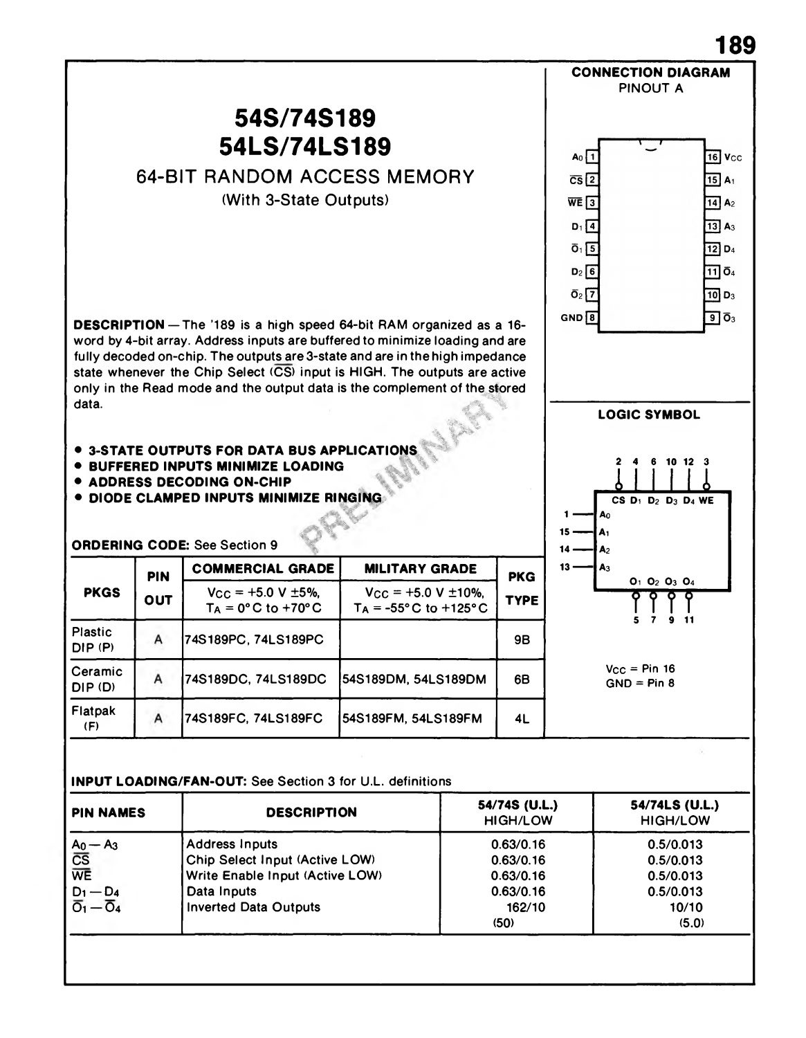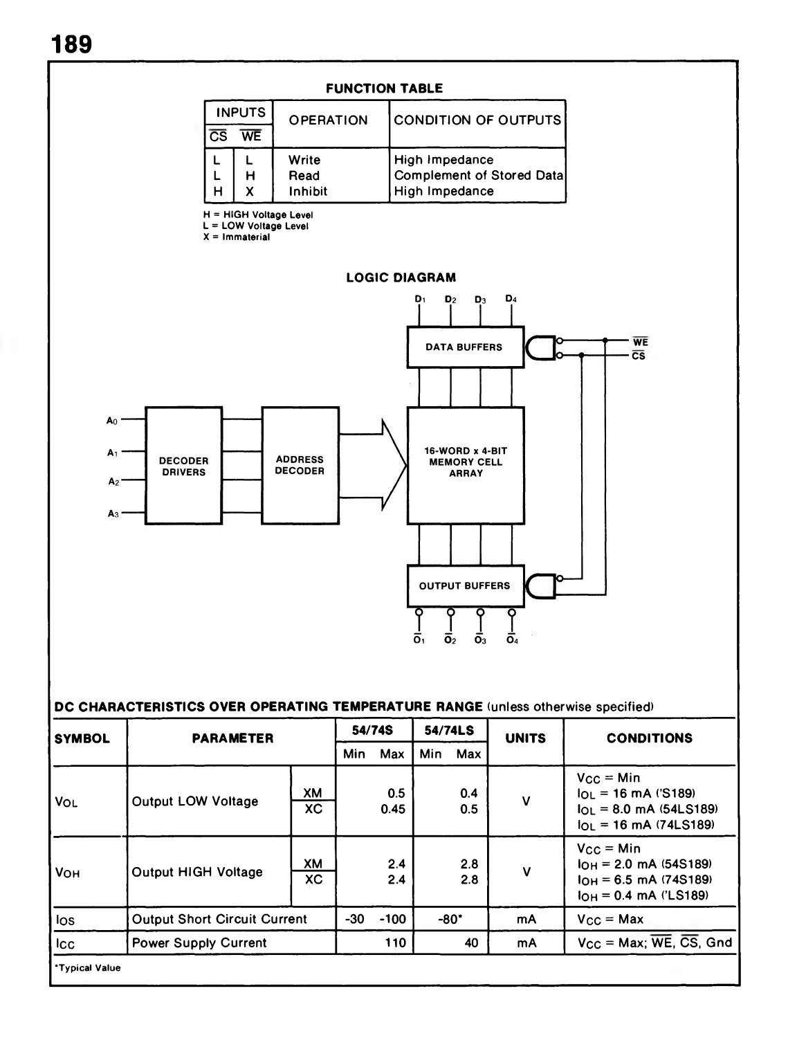

| Min.<br>Min<br>Max<br>Max<br>$V_{CC} = Min$<br>0.5<br>XM<br>$I_{OL}$ = 16 mA ('S189)<br>0.4<br>v<br><b>Output LOW Voltage</b><br><b>VOL</b><br>ХC<br>0.45<br>0.5<br>$I_{OL}$ = 8.0 mA (54LS189)              |  |
|--------------------------------------------------------------------------------------------------------------------------------------------------------------------------------------------------------------|--|
|                                                                                                                                                                                                              |  |
| $I_{OL} = 16$ mA (74LS189)                                                                                                                                                                                   |  |
| $V_{CC} = Min$<br>2.4<br>XM<br>2.8<br>$I_{OH} = 2.0$ mA (54S189)<br>$\mathsf{v}$<br><b>Output HIGH Voltage</b><br><b>VOH</b><br>ХC<br>2.4<br>2.8<br>$I_{OH} = 6.5$ mA (74S189)<br>$I_{OH} = 0.4$ mA ('LS189) |  |
| $-80"$<br>-30<br>$-100$<br><b>Output Short Circuit Current</b><br>$V_{\rm CC} =$ Max<br>mA<br>los                                                                                                            |  |
| $V_{CC} = Max$ ; $\overline{WE}$ , $\overline{CS}$ , Gnd<br>110<br>40<br><b>Icc</b><br><b>Power Supply Current</b><br>mA                                                                                     |  |
| <b>*Typical Value</b>                                                                                                                                                                                        |  |